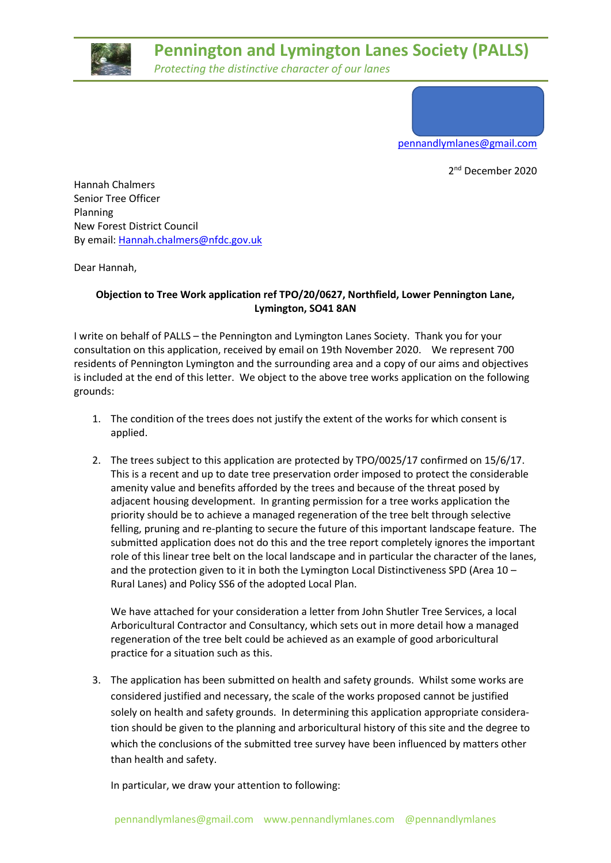

## **Pennington and Lymington Lanes Society (PALLS)**

*Protecting the distinctive character of our lanes*

[pennandlymlanes@gmail.com](mailto:pennandlymlanes@gmail.com)

2<sup>nd</sup> December 2020

Hannah Chalmers Senior Tree Officer Planning New Forest District Council By email: [Hannah.chalmers@nfdc.gov.uk](mailto:Hannah.chalmers@nfdc.gov.uk)

Dear Hannah,

## **Objection to Tree Work application ref TPO/20/0627, Northfield, Lower Pennington Lane, Lymington, SO41 8AN**

I write on behalf of PALLS – the Pennington and Lymington Lanes Society. Thank you for your consultation on this application, received by email on 19th November 2020. We represent 700 residents of Pennington Lymington and the surrounding area and a copy of our aims and objectives is included at the end of this letter. We object to the above tree works application on the following grounds:

- 1. The condition of the trees does not justify the extent of the works for which consent is applied.
- 2. The trees subject to this application are protected by TPO/0025/17 confirmed on 15/6/17. This is a recent and up to date tree preservation order imposed to protect the considerable amenity value and benefits afforded by the trees and because of the threat posed by adjacent housing development. In granting permission for a tree works application the priority should be to achieve a managed regeneration of the tree belt through selective felling, pruning and re-planting to secure the future of this important landscape feature. The submitted application does not do this and the tree report completely ignores the important role of this linear tree belt on the local landscape and in particular the character of the lanes, and the protection given to it in both the Lymington Local Distinctiveness SPD (Area 10 – Rural Lanes) and Policy SS6 of the adopted Local Plan.

We have attached for your consideration a letter from John Shutler Tree Services, a local Arboricultural Contractor and Consultancy, which sets out in more detail how a managed regeneration of the tree belt could be achieved as an example of good arboricultural practice for a situation such as this.

3. The application has been submitted on health and safety grounds. Whilst some works are considered justified and necessary, the scale of the works proposed cannot be justified solely on health and safety grounds. In determining this application appropriate consideration should be given to the planning and arboricultural history of this site and the degree to which the conclusions of the submitted tree survey have been influenced by matters other than health and safety.

In particular, we draw your attention to following: